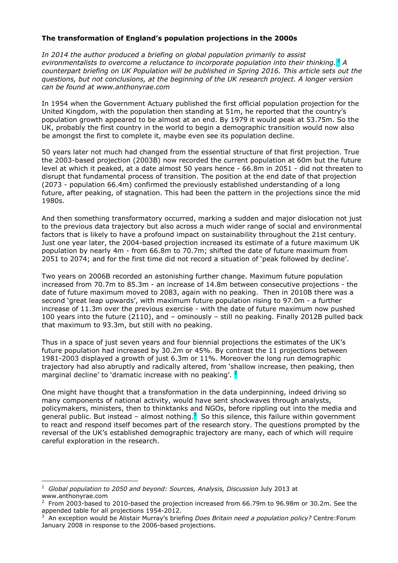# **The transformation of England's population projections in the 2000s**

*In 2014 the author produced a briefing on global population primarily to assist evironmentalists to overcome a reluctance to incorporate population into their thinking.<sup>1</sup> A counterpart briefing on UK Population will be published in Spring 2016. This article sets out the questions, but not conclusions, at the beginning of the UK research project. A longer version can be found at www.anthonyrae.com* 

In 1954 when the Government Actuary published the first official population projection for the United Kingdom, with the population then standing at 51m, he reported that the country's population growth appeared to be almost at an end. By 1979 it would peak at 53.75m. So the UK, probably the first country in the world to begin a demographic transition would now also be amongst the first to complete it, maybe even see its population decline.

50 years later not much had changed from the essential structure of that first projection. True the 2003-based projection (2003B) now recorded the current population at 60m but the future level at which it peaked, at a date almost 50 years hence - 66.8m in 2051 - did not threaten to disrupt that fundamental process of transition. The position at the end date of that projection (2073 - population 66.4m) confirmed the previously established understanding of a long future, after peaking, of stagnation. This had been the pattern in the projections since the mid 1980s.

And then something transformatory occurred, marking a sudden and major dislocation not just to the previous data trajectory but also across a much wider range of social and environmental factors that is likely to have a profound impact on sustainability throughout the 21st century. Just one year later, the 2004-based projection increased its estimate of a future maximum UK population by nearly 4m - from 66.8m to 70.7m; shifted the date of future maximum from 2051 to 2074; and for the first time did not record a situation of 'peak followed by decline'.

Two years on 2006B recorded an astonishing further change. Maximum future population increased from 70.7m to 85.3m - an increase of 14.8m between consecutive projections - the date of future maximum moved to 2083, again with no peaking. Then in 2010B there was a second 'great leap upwards', with maximum future population rising to 97.0m - a further increase of 11.3m over the previous exercise - with the date of future maximum now pushed 100 years into the future (2110), and – ominously – still no peaking. Finally 2012B pulled back that maximum to 93.3m, but still with no peaking.

Thus in a space of just seven years and four biennial projections the estimates of the UK's future population had increased by 30.2m or 45%. By contrast the 11 projections between 1981-2003 displayed a growth of just 6.3m or 11%. Moreover the long run demographic trajectory had also abruptly and radically altered, from 'shallow increase, then peaking, then marginal decline' to 'dramatic increase with no peaking'. <sup>2</sup>

One might have thought that a transformation in the data underpinning, indeed driving so many components of national activity, would have sent shockwaves through analysts, policymakers, ministers, then to thinktanks and NGOs, before rippling out into the media and general public. But instead – almost nothing.<sup>3</sup> So this silence, this failure within government to react and respond itself becomes part of the research story. The questions prompted by the reversal of the UK's established demographic trajectory are many, each of which will require careful exploration in the research.

<sup>1</sup> Global population to 2050 and beyond: Sources, Analysis, Discussion July 2013 at www.anthonyrae.com

<sup>2</sup> From 2003-based to 2010-based the projection increased from 66.79m to 96.98m or 30.2m. See the appended table for all projections 1954-2012.

<sup>3</sup> An exception would be Alistair Murray's briefing *Does Britain need a population policy?* Centre:Forum January 2008 in response to the 2006-based projections.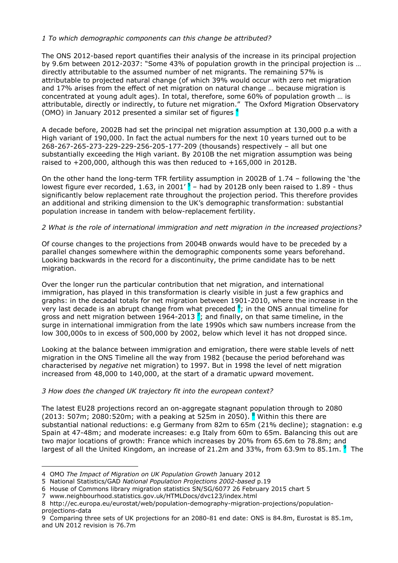# *1 To which demographic components can this change be attributed?*

The ONS 2012-based report quantifies their analysis of the increase in its principal projection by 9.6m between 2012-2037: "Some 43% of population growth in the principal projection is … directly attributable to the assumed number of net migrants. The remaining 57% is attributable to projected natural change (of which 39% would occur with zero net migration and 17% arises from the effect of net migration on natural change … because migration is concentrated at young adult ages). In total, therefore, some 60% of population growth … is attributable, directly or indirectly, to future net migration." The Oxford Migration Observatory (OMO) in January 2012 presented a similar set of figures  $<sup>4</sup>$ </sup>

A decade before, 2002B had set the principal net migration assumption at 130,000 p.a with a High variant of 190,000. In fact the actual numbers for the next 10 years turned out to be 268-267-265-273-229-229-256-205-177-209 (thousands) respectively – all but one substantially exceeding the High variant. By 2010B the net migration assumption was being raised to  $+200,000$ , although this was then reduced to  $+165,000$  in 2012B.

On the other hand the long-term TFR fertility assumption in 2002B of 1.74 – following the 'the lowest figure ever recorded, 1.63, in 2001'  $5$  – had by 2012B only been raised to 1.89 - thus significantly below replacement rate throughout the projection period. This therefore provides an additional and striking dimension to the UK's demographic transformation: substantial population increase in tandem with below-replacement fertility.

## *2 What is the role of international immigration and nett migration in the increased projections?*

Of course changes to the projections from 2004B onwards would have to be preceded by a parallel changes somewhere within the demographic components some years beforehand. Looking backwards in the record for a discontinuity, the prime candidate has to be nett migration.

Over the longer run the particular contribution that net migration, and international immigration, has played in this transformation is clearly visible in just a few graphics and graphs: in the decadal totals for net migration between 1901-2010, where the increase in the very last decade is an abrupt change from what preceded  $\frac{6}{5}$ ; in the ONS annual timeline for gross and nett migration between 1964-2013 <sup>7</sup>; and finally, on that same timeline, in the surge in international immigration from the late 1990s which saw numbers increase from the low 300,000s to in excess of 500,000 by 2002, below which level it has not dropped since.

Looking at the balance between immigration and emigration, there were stable levels of nett migration in the ONS Timeline all the way from 1982 (because the period beforehand was characterised by *negative* net migration) to 1997. But in 1998 the level of nett migration increased from 48,000 to 140,000, at the start of a dramatic upward movement.

# *3 How does the changed UK trajectory fit into the european context?*

The latest EU28 projections record an on-aggregate stagnant population through to 2080 (2013: 507m; 2080:520m; with a peaking at 525m in 2050).  $\frac{8}{3}$  Within this there are substantial national reductions: e.g Germany from 82m to 65m (21% decline); stagnation: e.g Spain at 47-48m; and moderate increases: e.g Italy from 60m to 65m. Balancing this out are two major locations of growth: France which increases by 20% from 65.6m to 78.8m; and largest of all the United Kingdom, an increase of 21.2m and 33%, from 63.9m to 85.1m. <sup>9</sup> The

<sup>4</sup> OMO *The Impact of Migration on UK Population Growth* January 2012

<sup>5</sup> National Statistics/GAD *National Population Projections 2002-based* p.19

<sup>6</sup> House of Commons library migration statistics SN/SG/6077 26 February 2015 chart 5

<sup>7</sup>www.neighbourhood.statistics.gov.uk/HTMLDocs/dvc123/index.html

<sup>8</sup> http://ec.europa.eu/eurostat/web/population-demography-migration-projections/populationprojections-data

<sup>9</sup> Comparing three sets of UK projections for an 2080-81 end date: ONS is 84.8m, Eurostat is 85.1m, and UN 2012 revision is 76.7m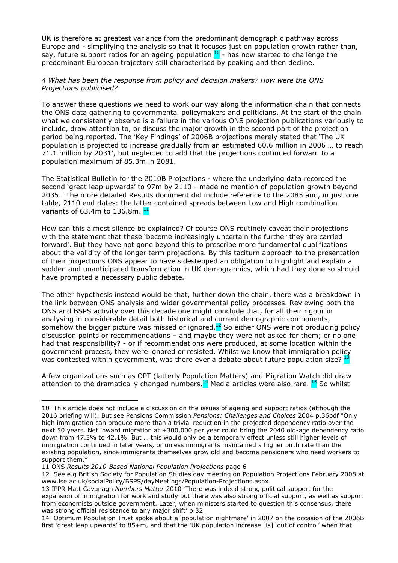UK is therefore at greatest variance from the predominant demographic pathway across Europe and - simplifying the analysis so that it focuses just on population growth rather than, say, future support ratios for an ageing population  $10$  - has now started to challenge the predominant European trajectory still characterised by peaking and then decline.

#### *4 What has been the response from policy and decision makers? How were the ONS Projections publicised?*

To answer these questions we need to work our way along the information chain that connects the ONS data gathering to governmental policymakers and politicians. At the start of the chain what we consistently observe is a failure in the various ONS projection publications variously to include, draw attention to, or discuss the major growth in the second part of the projection period being reported. The 'Key Findings' of 2006B projections merely stated that 'The UK population is projected to increase gradually from an estimated 60.6 million in 2006 … to reach 71.1 million by 2031', but neglected to add that the projections continued forward to a population maximum of 85.3m in 2081.

The Statistical Bulletin for the 2010B Projections - where the underlying data recorded the second 'great leap upwards' to 97m by 2110 - made no mention of population growth beyond 2035. The more detailed Results document did include reference to the 2085 and, in just one table, 2110 end dates: the latter contained spreads between Low and High combination variants of 63.4m to 136.8m.  $<sup>11</sup>$ </sup>

How can this almost silence be explained? Of course ONS routinely caveat their projections with the statement that these 'become increasingly uncertain the further they are carried forward'. But they have not gone beyond this to prescribe more fundamental qualifications about the validity of the longer term projections. By this taciturn approach to the presentation of their projections ONS appear to have sidestepped an obligation to highlight and explain a sudden and unanticipated transformation in UK demographics, which had they done so should have prompted a necessary public debate.

The other hypothesis instead would be that, further down the chain, there was a breakdown in the link between ONS analysis and wider governmental policy processes. Reviewing both the ONS and BSPS activity over this decade one might conclude that, for all their rigour in analysing in considerable detail both historical and current demographic components, somehow the bigger picture was missed or ignored.<sup>12</sup> So either ONS were not producing policy discussion points or recommendations – and maybe they were not asked for them; or no one had that responsibility? - or if recommendations were produced, at some location within the government process, they were ignored or resisted. Whilst we know that immigration policy was contested within government, was there ever a debate about future population size? <sup>1</sup>

A few organizations such as OPT (latterly Population Matters) and Migration Watch did draw attention to the dramatically changed numbers. $14$  Media articles were also rare.  $15$  So whilst

<sup>10</sup> This article does not include a discussion on the issues of ageing and support ratios (although the 2016 briefing will). But see Pensions Commission *Pensions: Challenges and Choices* 2004 p.36pdf "Only high immigration can produce more than a trivial reduction in the projected dependency ratio over the next 50 years. Net inward migration at +300,000 per year could bring the 2040 old-age dependency ratio down from 47.3% to 42.1%. But … this would only be a temporary effect unless still higher levels of immigration continued in later years, or unless immigrants maintained a higher birth rate than the existing population, since immigrants themselves grow old and become pensioners who need workers to support them."

<sup>11</sup> ONS *Results 2010-Based National Population Projections* page 6

<sup>12</sup> See e.g British Society for Population Studies day meeting on Population Projections February 2008 at www.lse.ac.uk/socialPolicy/BSPS/dayMeetings/Population-Projections.aspx

<sup>13</sup> IPPR Matt Cavanagh *Numbers Matter* 2010 'There was indeed strong political support for the expansion of immigration for work and study but there was also strong official support, as well as support from economists outside government. Later, when ministers started to question this consensus, there was strong official resistance to any major shift' p.32

<sup>14</sup> Optimum Population Trust spoke about a 'population nightmare' in 2007 on the occasion of the 2006B first 'great leap upwards' to 85+m, and that the 'UK population increase [is] 'out of control' when that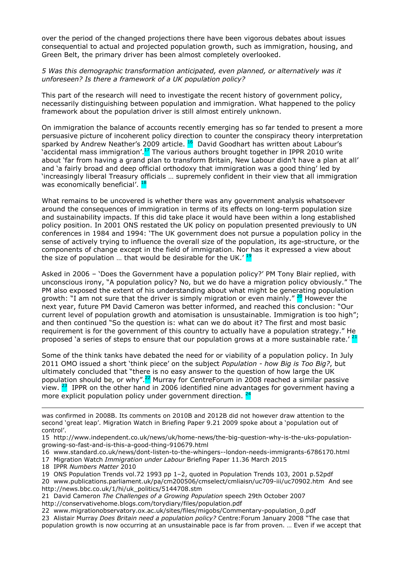over the period of the changed projections there have been vigorous debates about issues consequential to actual and projected population growth, such as immigration, housing, and Green Belt, the primary driver has been almost completely overlooked.

### *5 Was this demographic transformation anticipated, even planned, or alternatively was it unforeseen? Is there a framework of a UK population policy?*

This part of the research will need to investigate the recent history of government policy, necessarily distinguishing between population and immigration. What happened to the policy framework about the population driver is still almost entirely unknown.

On immigration the balance of accounts recently emerging has so far tended to present a more persuasive picture of incoherent policy direction to counter the conspiracy theory interpretation sparked by Andrew Neather's 2009 article.  $^{16}$  David Goodhart has written about Labour's 'accidental mass immigration'.<sup>17</sup> The various authors brought together in IPPR 2010 write about 'far from having a grand plan to transform Britain, New Labour didn't have a plan at all' and 'a fairly broad and deep official orthodoxy that immigration was a good thing' led by 'increasingly liberal Treasury officials … supremely confident in their view that all immigration was economically beneficial'.  $\frac{1}{2}$ 

What remains to be uncovered is whether there was any government analysis whatsoever around the consequences of immigration in terms of its effects on long-term population size and sustainability impacts. If this did take place it would have been within a long established policy position. In 2001 ONS restated the UK policy on population presented previously to UN conferences in 1984 and 1994: 'The UK government does not pursue a population policy in the sense of actively trying to influence the overall size of the population, its age-structure, or the components of change except in the field of immigration. Nor has it expressed a view about the size of population ... that would be desirable for the UK.' $<sup>1</sup>$ </sup>

Asked in 2006 – 'Does the Government have a population policy?' PM Tony Blair replied, with unconscious irony, "A population policy? No, but we do have a migration policy obviously." The PM also exposed the extent of his understanding about what might be generating population growth: "I am not sure that the driver is simply migration or even mainly." <sup>20</sup> However the next year, future PM David Cameron was better informed, and reached this conclusion: "Our current level of population growth and atomisation is unsustainable. Immigration is too high"; and then continued "So the question is: what can we do about it? The first and most basic requirement is for the government of this country to actually have a population strategy." He proposed 'a series of steps to ensure that our population grows at a more sustainable rate.'<sup>2</sup>

Some of the think tanks have debated the need for or viability of a population policy. In July 2011 OMO issued a short 'think piece' on the subject *Population - how Big is Too Big?*, but ultimately concluded that "there is no easy answer to the question of how large the UK population should be, or why". $^{22}$  Murray for CentreForum in 2008 reached a similar passive view.  $^{23}$  IPPR on the other hand in 2006 identified nine advantages for government having a more explicit population policy under government direction.  $\frac{2}{3}$ 

was confirmed in 2008B. Its comments on 2010B and 2012B did not however draw attention to the second 'great leap'. Migration Watch in Briefing Paper 9.21 2009 spoke about a 'population out of control'.

16 www.standard.co.uk/news/dont-listen-to-the-whingers--london-needs-immigrants-6786170.html

17 Migration Watch *Immigration under Labour* Briefing Paper 11.36 March 2015

18 IPPR *Numbers Matter* 2010

 $\overline{a}$ 

19 ONS Population Trends vol.72 1993 pp 1–2, quoted in Population Trends 103, 2001 p.52pdf

20 www.publications.parliament.uk/pa/cm200506/cmselect/cmliaisn/uc709-iii/uc70902.htm And see http://news.bbc.co.uk/1/hi/uk\_politics/5144708.stm

- 21 David Cameron *The Challenges of a Growing Population* speech 29th October 2007 http://conservativehome.blogs.com/torydiary/files/population.pdf
- 22 www.migrationobservatory.ox.ac.uk/sites/files/migobs/Commentary-population\_0.pdf
- 23 Alistair Murray *Does Britain need a population policy?* Centre:Forum January 2008 "The case that population growth is now occurring at an unsustainable pace is far from proven. … Even if we accept that

<sup>15</sup> http://www.independent.co.uk/news/uk/home-news/the-big-question-why-is-the-uks-populationgrowing-so-fast-and-is-this-a-good-thing-910679.html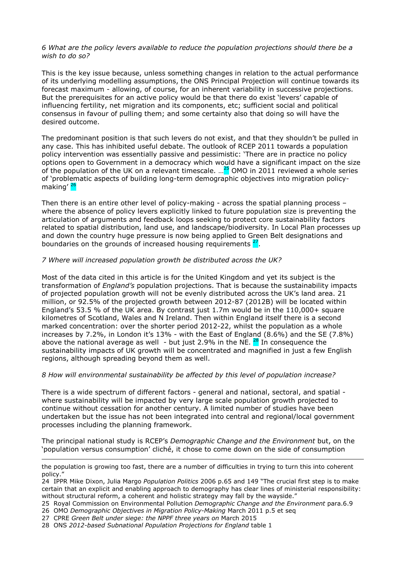#### *6 What are the policy levers available to reduce the population projections should there be a wish to do so?*

This is the key issue because, unless something changes in relation to the actual performance of its underlying modelling assumptions, the ONS Principal Projection will continue towards its forecast maximum - allowing, of course, for an inherent variability in successive projections. But the prerequisites for an active policy would be that there do exist 'levers' capable of influencing fertility, net migration and its components, etc; sufficient social and political consensus in favour of pulling them; and some certainty also that doing so will have the desired outcome.

The predominant position is that such levers do not exist, and that they shouldn't be pulled in any case. This has inhibited useful debate. The outlook of RCEP 2011 towards a population policy intervention was essentially passive and pessimistic: 'There are in practice no policy options open to Government in a democracy which would have a significant impact on the size of the population of the UK on a relevant timescale. ...<sup>25</sup> OMO in 2011 reviewed a whole series of 'problematic aspects of building long-term demographic objectives into migration policymaking' 26

Then there is an entire other level of policy-making - across the spatial planning process where the absence of policy levers explicitly linked to future population size is preventing the articulation of arguments and feedback loops seeking to protect core sustainability factors related to spatial distribution, land use, and landscape/biodiversity. In Local Plan processes up and down the country huge pressure is now being applied to Green Belt designations and boundaries on the grounds of increased housing requirements <sup>27</sup>.

## *7 Where will increased population growth be distributed across the UK?*

Most of the data cited in this article is for the United Kingdom and yet its subject is the transformation of *England's* population projections. That is because the sustainability impacts of projected population growth will not be evenly distributed across the UK's land area. 21 million, or 92.5% of the projected growth between 2012-87 (2012B) will be located within England's 53.5 % of the UK area. By contrast just 1.7m would be in the 110,000+ square kilometres of Scotland, Wales and N Ireland. Then within England itself there is a second marked concentration: over the shorter period 2012-22, whilst the population as a whole increases by 7.2%, in London it's  $13\%$  - with the East of England (8.6%) and the SE (7.8%) above the national average as well - but just 2.9% in the NE.  $^{28}$  In consequence the sustainability impacts of UK growth will be concentrated and magnified in just a few English regions, although spreading beyond them as well.

#### *8 How will environmental sustainability be affected by this level of population increase?*

There is a wide spectrum of different factors - general and national, sectoral, and spatial where sustainability will be impacted by very large scale population growth projected to continue without cessation for another century. A limited number of studies have been undertaken but the issue has not been integrated into central and regional/local government processes including the planning framework.

The principal national study is RCEP's *Demographic Change and the Environment* but, on the 'population versus consumption' cliché, it chose to come down on the side of consumption

the population is growing too fast, there are a number of difficulties in trying to turn this into coherent policy.

<sup>24</sup> IPPR Mike Dixon, Julia Margo *Population Politics* 2006 p.65 and 149 "The crucial first step is to make certain that an explicit and enabling approach to demography has clear lines of ministerial responsibility: without structural reform, a coherent and holistic strategy may fall by the wayside."

<sup>25</sup> Royal Commission on Environmental Pollution *Demographic Change and the Environment* para.6.9

<sup>26</sup> OMO *Demographic Objectives in Migration Policy-Making* March 2011 p.5 et seq

<sup>27</sup> CPRE *Green Belt under siege: the NPPF three years on* March 2015

<sup>28</sup> ONS *2012-based Subnational Population Projections for England* table 1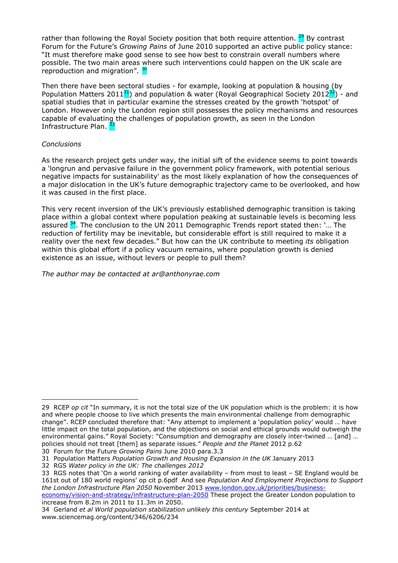rather than following the Royal Society position that both require attention.  $29$  By contrast Forum for the Future's *Growing Pains* of June 2010 supported an active public policy stance: "It must therefore make good sense to see how best to constrain overall numbers where possible. The two main areas where such interventions could happen on the UK scale are reproduction and migration".  $30$ 

Then there have been sectoral studies - for example, looking at population & housing (by Population Matters 2011 $31$ ) and population & water (Royal Geographical Society 2012 $32$ ) - and spatial studies that in particular examine the stresses created by the growth 'hotspot' of London. However only the London region still possesses the policy mechanisms and resources capable of evaluating the challenges of population growth, as seen in the London Infrastructure Plan. <sup>3</sup>

## *Conclusions*

 $\overline{a}$ 

As the research project gets under way, the initial sift of the evidence seems to point towards a 'longrun and pervasive failure in the government policy framework, with potential serious negative impacts for sustainability' as the most likely explanation of how the consequences of a major dislocation in the UK's future demographic trajectory came to be overlooked, and how it was caused in the first place.

This very recent inversion of the UK's previously established demographic transition is taking place within a global context where population peaking at sustainable levels is becoming less assured  $34$ . The conclusion to the UN 2011 Demographic Trends report stated then: '... The reduction of fertility may be inevitable, but considerable effort is still required to make it a reality over the next few decades." But how can the UK contribute to meeting *its* obligation within this global effort if a policy vacuum remains, where population growth is denied existence as an issue, without levers or people to pull them?

*The author may be contacted at ar@anthonyrae.com*

<sup>29</sup> RCEP *op cit* "In summary, it is not the total size of the UK population which is the problem: it is how and where people choose to live which presents the main environmental challenge from demographic change". RCEP concluded therefore that: "Any attempt to implement a 'population policy' would … have little impact on the total population, and the objections on social and ethical grounds would outweigh the environmental gains." Royal Society: "Consumption and demography are closely inter-twined … [and] … policies should not treat [them] as separate issues." *People and the Planet* 2012 p.62

<sup>30</sup> Forum for the Future *Growing Pains* June 2010 para.3.3

<sup>31</sup> Population Matters *Population Growth and Housing Expansion in the UK* January 2013

<sup>32</sup> RGS *Water policy in the UK: The challenges 2012* 

<sup>33</sup> RGS notes that 'On a world ranking of water availability – from most to least – SE England would be 161st out of 180 world regions' op cit p.6pdf And see *Population And Employment Projections to Support the London Infrastructure Plan 2050* November 2013 www.london.gov.uk/priorities/businesseconomy/vision-and-strategy/infrastructure-plan-2050 These project the Greater London population to

increase from 8.2m in 2011 to 11.3m in 2050.

<sup>34</sup> Gerland *et al World population stabilization unlikely this century* September 2014 at www.sciencemag.org/content/346/6206/234